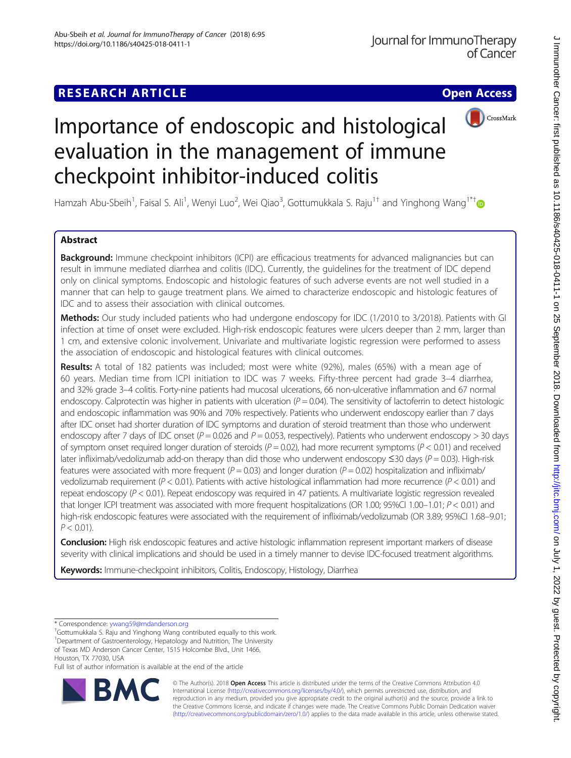# **RESEARCH ARTICLE Example 2014 12:30 The Contract of Contract ACCESS**

CrossMark



Hamzah Abu-Sbeih<sup>1</sup>, Faisal S. Ali<sup>1</sup>, Wenyi Luo<sup>2</sup>, Wei Qiao<sup>3</sup>, Gottumukkala S. Raju<sup>1[†](http://orcid.org/0000-0002-5148-6130)</sup> and Yinghong Wang<sup>1\*†</sup>

# Abstract

**Background:** Immune checkpoint inhibitors (ICPI) are efficacious treatments for advanced malignancies but can result in immune mediated diarrhea and colitis (IDC). Currently, the guidelines for the treatment of IDC depend only on clinical symptoms. Endoscopic and histologic features of such adverse events are not well studied in a manner that can help to gauge treatment plans. We aimed to characterize endoscopic and histologic features of IDC and to assess their association with clinical outcomes.

Methods: Our study included patients who had undergone endoscopy for IDC (1/2010 to 3/2018). Patients with GI infection at time of onset were excluded. High-risk endoscopic features were ulcers deeper than 2 mm, larger than 1 cm, and extensive colonic involvement. Univariate and multivariate logistic regression were performed to assess the association of endoscopic and histological features with clinical outcomes.

Results: A total of 182 patients was included; most were white (92%), males (65%) with a mean age of 60 years. Median time from ICPI initiation to IDC was 7 weeks. Fifty-three percent had grade 3–4 diarrhea, and 32% grade 3–4 colitis. Forty-nine patients had mucosal ulcerations, 66 non-ulcerative inflammation and 67 normal endoscopy. Calprotectin was higher in patients with ulceration  $(P = 0.04)$ . The sensitivity of lactoferrin to detect histologic and endoscopic inflammation was 90% and 70% respectively. Patients who underwent endoscopy earlier than 7 days after IDC onset had shorter duration of IDC symptoms and duration of steroid treatment than those who underwent endoscopy after 7 days of IDC onset ( $P = 0.026$  and  $P = 0.053$ , respectively). Patients who underwent endoscopy > 30 days of symptom onset required longer duration of steroids  $(P = 0.02)$ , had more recurrent symptoms  $(P < 0.01)$  and received later infliximab/vedolizumab add-on therapy than did those who underwent endoscopy  $\leq$ 30 days (P = 0.03). High-risk features were associated with more frequent ( $P = 0.03$ ) and longer duration ( $P = 0.02$ ) hospitalization and infliximab/ vedolizumab requirement ( $P < 0.01$ ). Patients with active histological inflammation had more recurrence ( $P < 0.01$ ) and repeat endoscopy ( $P < 0.01$ ). Repeat endoscopy was required in 47 patients. A multivariate logistic regression revealed that longer ICPI treatment was associated with more frequent hospitalizations (OR 1.00; 95%CI 1.00–1.01;  $P < 0.01$ ) and high-risk endoscopic features were associated with the requirement of infliximab/vedolizumab (OR 3.89; 95%Cl 1.68–9.01;  $P < 0.01$ ).

Conclusion: High risk endoscopic features and active histologic inflammation represent important markers of disease severity with clinical implications and should be used in a timely manner to devise IDC-focused treatment algorithms.

Keywords: Immune-checkpoint inhibitors, Colitis, Endoscopy, Histology, Diarrhea

<sup>1</sup>Department of Gastroenterology, Hepatology and Nutrition, The University of Texas MD Anderson Cancer Center, 1515 Holcombe Blvd., Unit 1466,

Houston, TX 77030, USA

Full list of author information is available at the end of the article



© The Author(s). 2018 Open Access This article is distributed under the terms of the Creative Commons Attribution 4.0 International License [\(http://creativecommons.org/licenses/by/4.0/](http://creativecommons.org/licenses/by/4.0/)), which permits unrestricted use, distribution, and reproduction in any medium, provided you give appropriate credit to the original author(s) and the source, provide a link to the Creative Commons license, and indicate if changes were made. The Creative Commons Public Domain Dedication waiver [\(http://creativecommons.org/publicdomain/zero/1.0/](http://creativecommons.org/publicdomain/zero/1.0/)) applies to the data made available in this article, unless otherwise stated.

<sup>\*</sup> Correspondence: [ywang59@mdanderson.org](mailto:ywang59@mdanderson.org) †

Gottumukkala S. Raju and Yinghong Wang contributed equally to this work.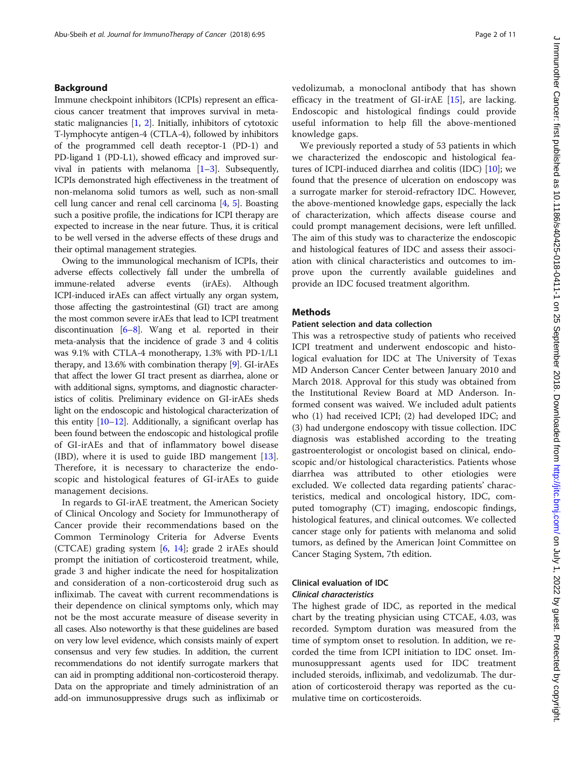# Background

Immune checkpoint inhibitors (ICPIs) represent an efficacious cancer treatment that improves survival in metastatic malignancies  $[1, 2]$  $[1, 2]$  $[1, 2]$ . Initially, inhibitors of cytotoxic T-lymphocyte antigen-4 (CTLA-4), followed by inhibitors of the programmed cell death receptor-1 (PD-1) and PD-ligand 1 (PD-L1), showed efficacy and improved survival in patients with melanoma  $[1-3]$  $[1-3]$  $[1-3]$ . Subsequently, ICPIs demonstrated high effectiveness in the treatment of non-melanoma solid tumors as well, such as non-small cell lung cancer and renal cell carcinoma [\[4,](#page-10-0) [5](#page-10-0)]. Boasting such a positive profile, the indications for ICPI therapy are expected to increase in the near future. Thus, it is critical to be well versed in the adverse effects of these drugs and their optimal management strategies.

Owing to the immunological mechanism of ICPIs, their adverse effects collectively fall under the umbrella of immune-related adverse events (irAEs). Although ICPI-induced irAEs can affect virtually any organ system, those affecting the gastrointestinal (GI) tract are among the most common severe irAEs that lead to ICPI treatment discontinuation [\[6](#page-10-0)–[8](#page-10-0)]. Wang et al. reported in their meta-analysis that the incidence of grade 3 and 4 colitis was 9.1% with CTLA-4 monotherapy, 1.3% with PD-1/L1 therapy, and 13.6% with combination therapy [\[9](#page-10-0)]. GI-irAEs that affect the lower GI tract present as diarrhea, alone or with additional signs, symptoms, and diagnostic characteristics of colitis. Preliminary evidence on GI-irAEs sheds light on the endoscopic and histological characterization of this entity  $[10-12]$  $[10-12]$  $[10-12]$ . Additionally, a significant overlap has been found between the endoscopic and histological profile of GI-irAEs and that of inflammatory bowel disease (IBD), where it is used to guide IBD mangement [\[13](#page-10-0)]. Therefore, it is necessary to characterize the endoscopic and histological features of GI-irAEs to guide management decisions.

In regards to GI-irAE treatment, the American Society of Clinical Oncology and Society for Immunotherapy of Cancer provide their recommendations based on the Common Terminology Criteria for Adverse Events (CTCAE) grading system  $[6, 14]$  $[6, 14]$  $[6, 14]$  $[6, 14]$  $[6, 14]$ ; grade 2 irAEs should prompt the initiation of corticosteroid treatment, while, grade 3 and higher indicate the need for hospitalization and consideration of a non-corticosteroid drug such as infliximab. The caveat with current recommendations is their dependence on clinical symptoms only, which may not be the most accurate measure of disease severity in all cases. Also noteworthy is that these guidelines are based on very low level evidence, which consists mainly of expert consensus and very few studies. In addition, the current recommendations do not identify surrogate markers that can aid in prompting additional non-corticosteroid therapy. Data on the appropriate and timely administration of an add-on immunosuppressive drugs such as infliximab or vedolizumab, a monoclonal antibody that has shown efficacy in the treatment of GI-irAE [[15\]](#page-10-0), are lacking. Endoscopic and histological findings could provide useful information to help fill the above-mentioned knowledge gaps.

We previously reported a study of 53 patients in which we characterized the endoscopic and histological features of ICPI-induced diarrhea and colitis (IDC) [\[10\]](#page-10-0); we found that the presence of ulceration on endoscopy was a surrogate marker for steroid-refractory IDC. However, the above-mentioned knowledge gaps, especially the lack of characterization, which affects disease course and could prompt management decisions, were left unfilled. The aim of this study was to characterize the endoscopic and histological features of IDC and assess their association with clinical characteristics and outcomes to improve upon the currently available guidelines and provide an IDC focused treatment algorithm.

### **Methods**

### Patient selection and data collection

This was a retrospective study of patients who received ICPI treatment and underwent endoscopic and histological evaluation for IDC at The University of Texas MD Anderson Cancer Center between January 2010 and March 2018. Approval for this study was obtained from the Institutional Review Board at MD Anderson. Informed consent was waived. We included adult patients who (1) had received ICPI; (2) had developed IDC; and (3) had undergone endoscopy with tissue collection. IDC diagnosis was established according to the treating gastroenterologist or oncologist based on clinical, endoscopic and/or histological characteristics. Patients whose diarrhea was attributed to other etiologies were excluded. We collected data regarding patients' characteristics, medical and oncological history, IDC, computed tomography (CT) imaging, endoscopic findings, histological features, and clinical outcomes. We collected cancer stage only for patients with melanoma and solid tumors, as defined by the American Joint Committee on Cancer Staging System, 7th edition.

### Clinical evaluation of IDC Clinical characteristics

The highest grade of IDC, as reported in the medical chart by the treating physician using CTCAE, 4.03, was recorded. Symptom duration was measured from the time of symptom onset to resolution. In addition, we recorded the time from ICPI initiation to IDC onset. Immunosuppressant agents used for IDC treatment included steroids, infliximab, and vedolizumab. The duration of corticosteroid therapy was reported as the cumulative time on corticosteroids.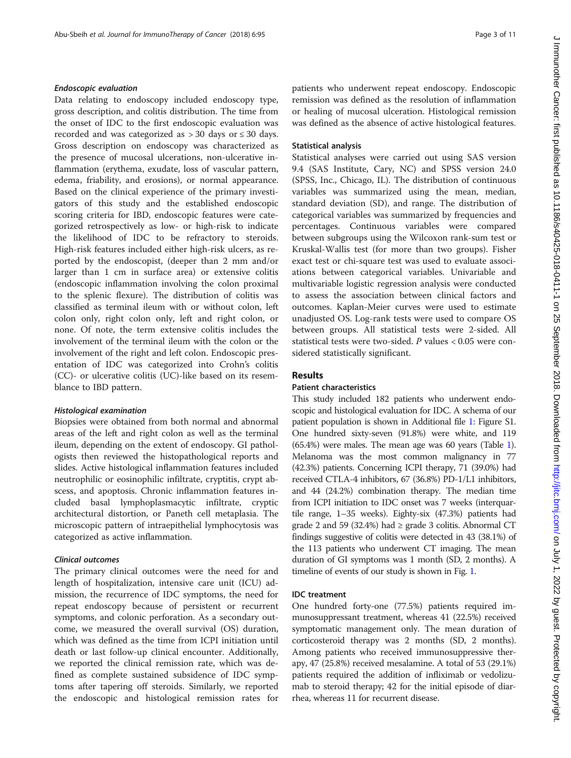### Endoscopic evaluation

Data relating to endoscopy included endoscopy type, gross description, and colitis distribution. The time from the onset of IDC to the first endoscopic evaluation was recorded and was categorized as  $> 30$  days or  $\leq 30$  days. Gross description on endoscopy was characterized as the presence of mucosal ulcerations, non-ulcerative inflammation (erythema, exudate, loss of vascular pattern, edema, friability, and erosions), or normal appearance. Based on the clinical experience of the primary investigators of this study and the established endoscopic scoring criteria for IBD, endoscopic features were categorized retrospectively as low- or high-risk to indicate the likelihood of IDC to be refractory to steroids. High-risk features included either high-risk ulcers, as reported by the endoscopist, (deeper than 2 mm and/or larger than 1 cm in surface area) or extensive colitis (endoscopic inflammation involving the colon proximal to the splenic flexure). The distribution of colitis was classified as terminal ileum with or without colon, left colon only, right colon only, left and right colon, or none. Of note, the term extensive colitis includes the involvement of the terminal ileum with the colon or the involvement of the right and left colon. Endoscopic presentation of IDC was categorized into Crohn's colitis (CC)- or ulcerative colitis (UC)-like based on its resemblance to IBD pattern.

### Histological examination

Biopsies were obtained from both normal and abnormal areas of the left and right colon as well as the terminal ileum, depending on the extent of endoscopy. GI pathologists then reviewed the histopathological reports and slides. Active histological inflammation features included neutrophilic or eosinophilic infiltrate, cryptitis, crypt abscess, and apoptosis. Chronic inflammation features included basal lymphoplasmacytic infiltrate, cryptic architectural distortion, or Paneth cell metaplasia. The microscopic pattern of intraepithelial lymphocytosis was categorized as active inflammation.

### Clinical outcomes

The primary clinical outcomes were the need for and length of hospitalization, intensive care unit (ICU) admission, the recurrence of IDC symptoms, the need for repeat endoscopy because of persistent or recurrent symptoms, and colonic perforation. As a secondary outcome, we measured the overall survival (OS) duration, which was defined as the time from ICPI initiation until death or last follow-up clinical encounter. Additionally, we reported the clinical remission rate, which was defined as complete sustained subsidence of IDC symptoms after tapering off steroids. Similarly, we reported the endoscopic and histological remission rates for patients who underwent repeat endoscopy. Endoscopic remission was defined as the resolution of inflammation or healing of mucosal ulceration. Histological remission was defined as the absence of active histological features.

### Statistical analysis

Statistical analyses were carried out using SAS version 9.4 (SAS Institute, Cary, NC) and SPSS version 24.0 (SPSS, Inc., Chicago, IL). The distribution of continuous variables was summarized using the mean, median, standard deviation (SD), and range. The distribution of categorical variables was summarized by frequencies and percentages. Continuous variables were compared between subgroups using the Wilcoxon rank-sum test or Kruskal-Wallis test (for more than two groups). Fisher exact test or chi-square test was used to evaluate associations between categorical variables. Univariable and multivariable logistic regression analysis were conducted to assess the association between clinical factors and outcomes. Kaplan-Meier curves were used to estimate unadjusted OS. Log-rank tests were used to compare OS between groups. All statistical tests were 2-sided. All statistical tests were two-sided. P values < 0.05 were considered statistically significant.

### Results

# Patient characteristics

This study included 182 patients who underwent endoscopic and histological evaluation for IDC. A schema of our patient population is shown in Additional file [1:](#page-9-0) Figure S1. One hundred sixty-seven (91.8%) were white, and 119 (65.4%) were males. The mean age was 60 years (Table [1](#page-3-0)). Melanoma was the most common malignancy in 77 (42.3%) patients. Concerning ICPI therapy, 71 (39.0%) had received CTLA-4 inhibitors, 67 (36.8%) PD-1/L1 inhibitors, and 44 (24.2%) combination therapy. The median time from ICPI initiation to IDC onset was 7 weeks (interquartile range, 1–35 weeks). Eighty-six (47.3%) patients had grade 2 and 59 (32.4%) had  $\geq$  grade 3 colitis. Abnormal CT findings suggestive of colitis were detected in 43 (38.1%) of the 113 patients who underwent CT imaging. The mean duration of GI symptoms was 1 month (SD, 2 months). A timeline of events of our study is shown in Fig. [1.](#page-4-0)

# IDC treatment

One hundred forty-one (77.5%) patients required immunosuppressant treatment, whereas 41 (22.5%) received symptomatic management only. The mean duration of corticosteroid therapy was 2 months (SD, 2 months). Among patients who received immunosuppressive therapy, 47 (25.8%) received mesalamine. A total of 53 (29.1%) patients required the addition of infliximab or vedolizumab to steroid therapy; 42 for the initial episode of diarrhea, whereas 11 for recurrent disease.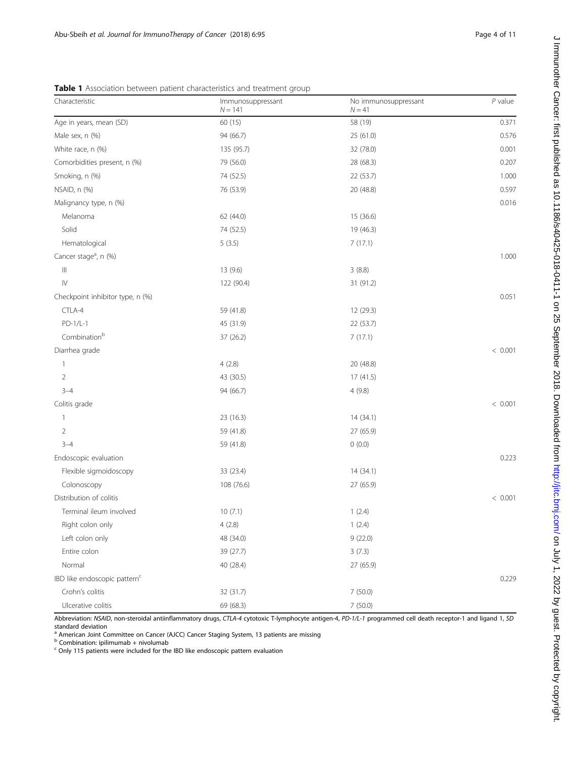| <b>TWHE I</b> ASSOCIATION DETINEER PATIENT CHARACTERISTICS AND TICALITIENT GROUP<br>Characteristic | Immunosuppressant<br>$N = 141$ | No immunosuppressant<br>$N = 41$ |         |
|----------------------------------------------------------------------------------------------------|--------------------------------|----------------------------------|---------|
| Age in years, mean (SD)                                                                            | 60 (15)                        | 58 (19)                          | 0.371   |
| Male sex, n (%)                                                                                    | 94 (66.7)                      | 25 (61.0)                        | 0.576   |
| White race, n (%)                                                                                  | 135 (95.7)                     | 32 (78.0)                        | 0.001   |
| Comorbidities present, n (%)                                                                       | 79 (56.0)                      | 28 (68.3)                        | 0.207   |
| Smoking, n (%)                                                                                     | 74 (52.5)                      | 22 (53.7)                        | 1.000   |
| NSAID, n (%)                                                                                       | 76 (53.9)                      | 20 (48.8)                        | 0.597   |
| Malignancy type, n (%)                                                                             |                                |                                  | 0.016   |
| Melanoma                                                                                           | 62 (44.0)                      | 15 (36.6)                        |         |
| Solid                                                                                              | 74 (52.5)                      | 19 (46.3)                        |         |
| Hematological                                                                                      | 5(3.5)                         | 7(17.1)                          |         |
| Cancer stage <sup>a</sup> , n (%)                                                                  |                                |                                  | 1.000   |
| Ш                                                                                                  | 13 (9.6)                       | 3(8.8)                           |         |
| $\mathsf{IV}$                                                                                      | 122 (90.4)                     | 31 (91.2)                        |         |
| Checkpoint inhibitor type, n (%)                                                                   |                                |                                  | 0.051   |
| CTLA-4                                                                                             | 59 (41.8)                      | 12 (29.3)                        |         |
| $PD-1/L-1$                                                                                         | 45 (31.9)                      | 22 (53.7)                        |         |
| Combinationb                                                                                       | 37 (26.2)                      | 7(17.1)                          |         |
| Diarrhea grade                                                                                     |                                |                                  | < 0.001 |
| 1                                                                                                  | 4(2.8)                         | 20 (48.8)                        |         |
| $\overline{2}$                                                                                     | 43 (30.5)                      | 17(41.5)                         |         |
| $3 - 4$                                                                                            | 94 (66.7)                      | 4(9.8)                           |         |
| Colitis grade                                                                                      |                                |                                  | < 0.001 |
| 1                                                                                                  | 23 (16.3)                      | 14(34.1)                         |         |
| $\overline{2}$                                                                                     | 59 (41.8)                      | 27 (65.9)                        |         |
| $3 - 4$                                                                                            | 59 (41.8)                      | 0(0.0)                           |         |
| Endoscopic evaluation                                                                              |                                |                                  | 0.223   |
| Flexible sigmoidoscopy                                                                             | 33 (23.4)                      | 14 (34.1)                        |         |
| Colonoscopy                                                                                        | 108 (76.6)                     | 27 (65.9)                        |         |
| Distribution of colitis                                                                            |                                |                                  | < 0.001 |
| Terminal ileum involved                                                                            | 10(7.1)                        | 1(2.4)                           |         |
| Right colon only                                                                                   | 4(2.8)                         | 1(2.4)                           |         |
| Left colon only                                                                                    | 48 (34.0)                      | 9(22.0)                          |         |
| Entire colon                                                                                       | 39 (27.7)                      | 3(7.3)                           |         |
| Normal                                                                                             | 40 (28.4)                      | 27 (65.9)                        |         |
| IBD like endoscopic pattern <sup>c</sup>                                                           |                                |                                  | 0.229   |
| Crohn's colitis                                                                                    | 32 (31.7)                      | 7(50.0)                          |         |
| Ulcerative colitis                                                                                 | 69 (68.3)                      | 7(50.0)                          |         |

<span id="page-3-0"></span>Table 1 Association between patient characteristics and treatment group

Abbreviation: NSAID, non-steroidal antiinflammatory drugs, CTLA-4 cytotoxic T-lymphocyte antigen-4, PD-1/L-1 programmed cell death receptor-1 and ligand 1, SD standard deviation

<sup>a</sup> American Joint Committee on Cancer (AJCC) Cancer Staging System, 13 patients are missing

 $<sup>b</sup>$  Combination: ipilimumab + nivolumab</sup>

<sup>c</sup> Only 115 patients were included for the IBD like endoscopic pattern evaluation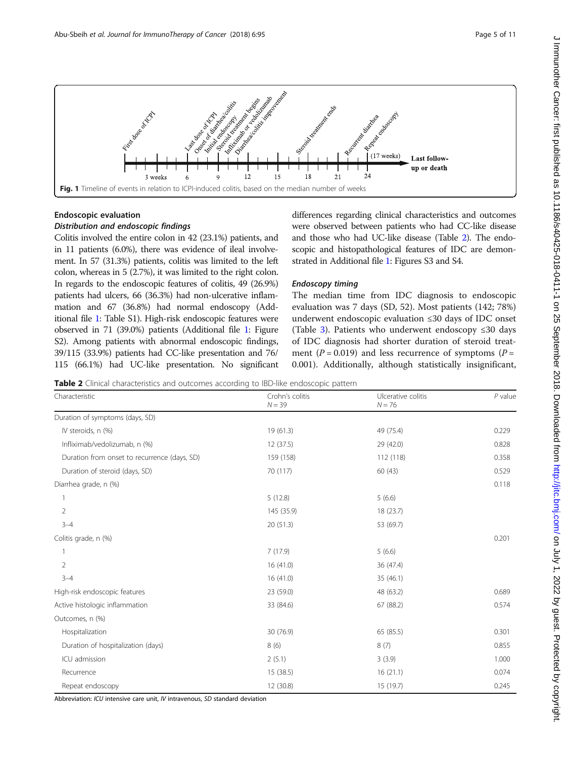<span id="page-4-0"></span>

# Endoscopic evaluation

### Distribution and endoscopic findings

Colitis involved the entire colon in 42 (23.1%) patients, and in 11 patients (6.0%), there was evidence of ileal involvement. In 57 (31.3%) patients, colitis was limited to the left colon, whereas in 5 (2.7%), it was limited to the right colon. In regards to the endoscopic features of colitis, 49 (26.9%) patients had ulcers, 66 (36.3%) had non-ulcerative inflammation and 67 (36.8%) had normal endoscopy (Additional file [1:](#page-9-0) Table S1). High-risk endoscopic features were observed in 71 (39.0%) patients (Additional file [1](#page-9-0): Figure S2). Among patients with abnormal endoscopic findings, 39/115 (33.9%) patients had CC-like presentation and 76/ 115 (66.1%) had UC-like presentation. No significant

differences regarding clinical characteristics and outcomes were observed between patients who had CC-like disease and those who had UC-like disease (Table 2). The endoscopic and histopathological features of IDC are demonstrated in Additional file [1:](#page-9-0) Figures S3 and S4.

### Endoscopy timing

The median time from IDC diagnosis to endoscopic evaluation was 7 days (SD, 52). Most patients (142; 78%) underwent endoscopic evaluation ≤30 days of IDC onset (Table [3](#page-5-0)). Patients who underwent endoscopy ≤30 days of IDC diagnosis had shorter duration of steroid treatment ( $P = 0.019$ ) and less recurrence of symptoms ( $P =$ 0.001). Additionally, although statistically insignificant,

Table 2 Clinical characteristics and outcomes according to IBD-like endoscopic pattern

| Characteristic                               | Crohn's colitis<br>$N = 39$ | Ulcerative colitis<br>$N = 76$ | $P$ value |
|----------------------------------------------|-----------------------------|--------------------------------|-----------|
| Duration of symptoms (days, SD)              |                             |                                |           |
| IV steroids, n (%)                           | 19 (61.3)                   | 49 (75.4)                      | 0.229     |
| Infliximab/vedolizumab, n (%)                | 12 (37.5)                   | 29 (42.0)                      | 0.828     |
| Duration from onset to recurrence (days, SD) | 159 (158)                   | 112 (118)                      | 0.358     |
| Duration of steroid (days, SD)               | 70 (117)                    | 60(43)                         | 0.529     |
| Diarrhea grade, n (%)                        |                             |                                | 0.118     |
|                                              | 5(12.8)                     | 5(6.6)                         |           |
| 2                                            | 145 (35.9)                  | 18 (23.7)                      |           |
| $3 - 4$                                      | 20 (51.3)                   | 53 (69.7)                      |           |
| Colitis grade, n (%)                         |                             |                                | 0.201     |
|                                              | 7(17.9)                     | 5(6.6)                         |           |
| 2                                            | 16 (41.0)                   | 36 (47.4)                      |           |
| $3 - 4$                                      | 16 (41.0)                   | 35 (46.1)                      |           |
| High-risk endoscopic features                | 23 (59.0)                   | 48 (63.2)                      | 0.689     |
| Active histologic inflammation               | 33 (84.6)                   | 67 (88.2)                      | 0.574     |
| Outcomes, n (%)                              |                             |                                |           |
| Hospitalization                              | 30 (76.9)                   | 65 (85.5)                      | 0.301     |
| Duration of hospitalization (days)           | 8(6)                        | 8(7)                           | 0.855     |
| ICU admission                                | 2(5.1)                      | 3(3.9)                         | 1.000     |
| Recurrence                                   | 15 (38.5)                   | 16(21.1)                       | 0.074     |
| Repeat endoscopy                             | 12 (30.8)                   | 15 (19.7)                      | 0.245     |

Abbreviation: ICU intensive care unit, IV intravenous, SD standard deviation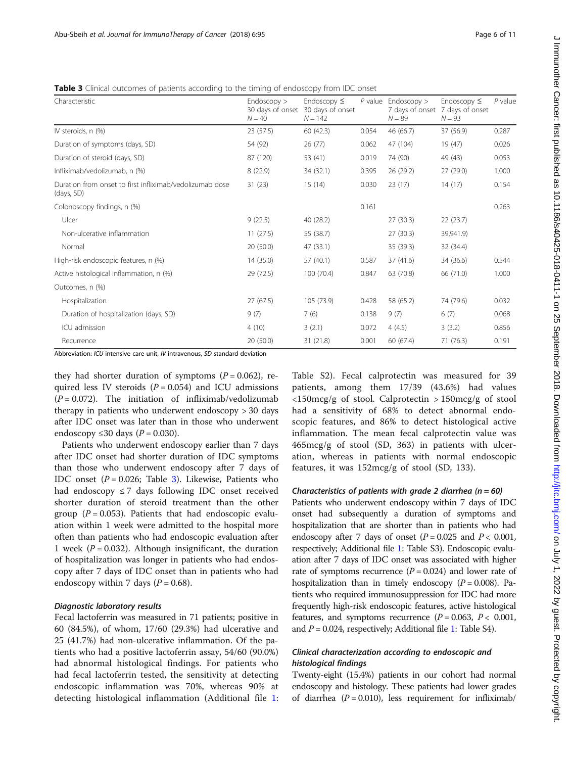| Characteristic                                                                                                                                                                                               | $Endoscopy$ ><br>30 days of onset<br>$N = 40$ | Endoscopy $\leq$<br>30 days of onset<br>$N = 142$ |       | P value Endoscopy $>$<br>7 days of onset<br>$N = 89$ | Endoscopy $\leq$<br>7 days of onset<br>$N = 93$ | $P$ value |
|--------------------------------------------------------------------------------------------------------------------------------------------------------------------------------------------------------------|-----------------------------------------------|---------------------------------------------------|-------|------------------------------------------------------|-------------------------------------------------|-----------|
| IV steroids, n (%)                                                                                                                                                                                           | 23(57.5)                                      | 60 (42.3)                                         | 0.054 | 46 (66.7)                                            | 37 (56.9)                                       | 0.287     |
| Duration of symptoms (days, SD)                                                                                                                                                                              | 54 (92)                                       | 26(77)                                            | 0.062 | 47 (104)                                             | 19 (47)                                         | 0.026     |
| Duration of steroid (days, SD)                                                                                                                                                                               | 87 (120)                                      | 53 (41)                                           | 0.019 | 74 (90)                                              | 49 (43)                                         | 0.053     |
| Infliximab/vedolizumab, n (%)                                                                                                                                                                                | 8(22.9)                                       | 34 (32.1)                                         | 0.395 | 26 (29.2)                                            | 27(29.0)                                        | 1.000     |
| Duration from onset to first infliximab/vedolizumab dose<br>(days, SD)                                                                                                                                       | 31(23)                                        | 15(14)                                            | 0.030 | 23(17)                                               | 14(17)                                          | 0.154     |
| Colonoscopy findings, n (%)                                                                                                                                                                                  |                                               |                                                   | 0.161 |                                                      |                                                 | 0.263     |
| Ulcer                                                                                                                                                                                                        | 9(22.5)                                       | 40 (28.2)                                         |       | 27(30.3)                                             | 22(23.7)                                        |           |
| Non-ulcerative inflammation                                                                                                                                                                                  | 11(27.5)                                      | 55 (38.7)                                         |       | 27(30.3)                                             | 39,941.9)                                       |           |
| Normal                                                                                                                                                                                                       | 20 (50.0)                                     | 47 (33.1)                                         |       | 35 (39.3)                                            | 32 (34.4)                                       |           |
| High-risk endoscopic features, n (%)                                                                                                                                                                         | 14(35.0)                                      | 57 (40.1)                                         | 0.587 | 37(41.6)                                             | 34 (36.6)                                       | 0.544     |
| Active histological inflammation, n (%)                                                                                                                                                                      | 29 (72.5)                                     | 100 (70.4)                                        | 0.847 | 63 (70.8)                                            | 66 (71.0)                                       | 1.000     |
| Outcomes, n (%)                                                                                                                                                                                              |                                               |                                                   |       |                                                      |                                                 |           |
| Hospitalization                                                                                                                                                                                              | 27(67.5)                                      | 105 (73.9)                                        | 0.428 | 58 (65.2)                                            | 74 (79.6)                                       | 0.032     |
| Duration of hospitalization (days, SD)                                                                                                                                                                       | 9(7)                                          | 7(6)                                              | 0.138 | 9(7)                                                 | 6(7)                                            | 0.068     |
| ICU admission                                                                                                                                                                                                | 4(10)                                         | 3(2.1)                                            | 0.072 | 4(4.5)                                               | 3(3.2)                                          | 0.856     |
| Recurrence<br>$\mathbf{1}$ and $\mathbf{1}$ and $\mathbf{1}$ and $\mathbf{1}$ and $\mathbf{1}$ and $\mathbf{1}$ and $\mathbf{1}$<br>$\cdots$ <i>nive</i><br>$\sim$ $\sim$ $\sim$ $\sim$ $\sim$ $\sim$ $\sim$ | 20 (50.0)                                     | 31 (21.8)                                         | 0.001 | 60 (67.4)                                            | 71 (76.3)                                       | 0.191     |

<span id="page-5-0"></span>Table 3 Clinical outcomes of patients according to the timing of endoscopy from IDC onset

Abbreviation: ICU intensive care unit, IV intravenous, SD standard deviation

they had shorter duration of symptoms  $(P = 0.062)$ , required less IV steroids  $(P = 0.054)$  and ICU admissions  $(P = 0.072)$ . The initiation of infliximab/vedolizumab therapy in patients who underwent endoscopy > 30 days after IDC onset was later than in those who underwent endoscopy ≤30 days ( $P = 0.030$ ).

Patients who underwent endoscopy earlier than 7 days after IDC onset had shorter duration of IDC symptoms than those who underwent endoscopy after 7 days of IDC onset  $(P = 0.026$ ; Table 3). Likewise, Patients who had endoscopy  $\leq$  7 days following IDC onset received shorter duration of steroid treatment than the other group  $(P = 0.053)$ . Patients that had endoscopic evaluation within 1 week were admitted to the hospital more often than patients who had endoscopic evaluation after 1 week ( $P = 0.032$ ). Although insignificant, the duration of hospitalization was longer in patients who had endoscopy after 7 days of IDC onset than in patients who had endoscopy within 7 days ( $P = 0.68$ ).

# Diagnostic laboratory results

Fecal lactoferrin was measured in 71 patients; positive in 60 (84.5%), of whom, 17/60 (29.3%) had ulcerative and 25 (41.7%) had non-ulcerative inflammation. Of the patients who had a positive lactoferrin assay, 54/60 (90.0%) had abnormal histological findings. For patients who had fecal lactoferrin tested, the sensitivity at detecting endoscopic inflammation was 70%, whereas 90% at detecting histological inflammation (Additional file [1](#page-9-0): Table S2). Fecal calprotectin was measured for 39 patients, among them 17/39 (43.6%) had values  $\langle 150 \text{mcg/g} \rangle$  of stool. Calprotectin  $> 150 \text{mcg/g}$  of stool had a sensitivity of 68% to detect abnormal endoscopic features, and 86% to detect histological active inflammation. The mean fecal calprotectin value was 465mcg/g of stool (SD, 363) in patients with ulceration, whereas in patients with normal endoscopic features, it was 152mcg/g of stool (SD, 133).

### Characteristics of patients with grade 2 diarrhea ( $n = 60$ )

Patients who underwent endoscopy within 7 days of IDC onset had subsequently a duration of symptoms and hospitalization that are shorter than in patients who had endoscopy after 7 days of onset  $(P = 0.025$  and  $P < 0.001$ , respectively; Additional file [1](#page-9-0): Table S3). Endoscopic evaluation after 7 days of IDC onset was associated with higher rate of symptoms recurrence  $(P = 0.024)$  and lower rate of hospitalization than in timely endoscopy  $(P = 0.008)$ . Patients who required immunosuppression for IDC had more frequently high-risk endoscopic features, active histological features, and symptoms recurrence  $(P = 0.063, P < 0.001,$ and  $P = 0.024$ , respectively; Additional file [1:](#page-9-0) Table S4).

# Clinical characterization according to endoscopic and histological findings

Twenty-eight (15.4%) patients in our cohort had normal endoscopy and histology. These patients had lower grades of diarrhea ( $P = 0.010$ ), less requirement for infliximab/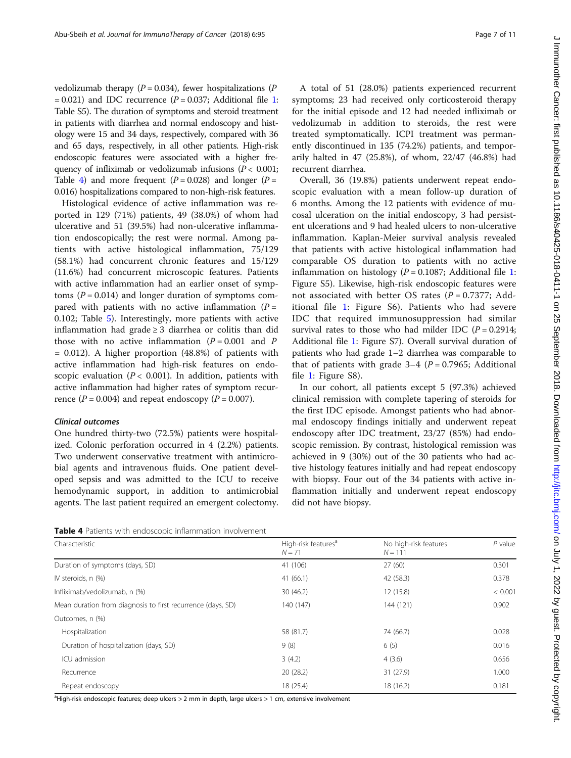vedolizumab therapy  $(P = 0.034)$ , fewer hospitalizations  $(P = 0.034)$  $= 0.021$  $= 0.021$ ) and IDC recurrence ( $P = 0.037$ ; Additional file 1: Table S5). The duration of symptoms and steroid treatment in patients with diarrhea and normal endoscopy and histology were 15 and 34 days, respectively, compared with 36 and 65 days, respectively, in all other patients. High-risk endoscopic features were associated with a higher frequency of infliximab or vedolizumab infusions  $(P < 0.001$ ; Table 4) and more frequent  $(P = 0.028)$  and longer  $(P = 0.028)$ 0.016) hospitalizations compared to non-high-risk features.

Histological evidence of active inflammation was reported in 129 (71%) patients, 49 (38.0%) of whom had ulcerative and 51 (39.5%) had non-ulcerative inflammation endoscopically; the rest were normal. Among patients with active histological inflammation, 75/129 (58.1%) had concurrent chronic features and 15/129 (11.6%) had concurrent microscopic features. Patients with active inflammation had an earlier onset of symptoms ( $P = 0.014$ ) and longer duration of symptoms compared with patients with no active inflammation  $(P =$ 0.102; Table [5](#page-7-0)). Interestingly, more patients with active inflammation had grade  $\geq$  3 diarrhea or colitis than did those with no active inflammation  $(P = 0.001$  and P = 0.012). A higher proportion (48.8%) of patients with active inflammation had high-risk features on endoscopic evaluation ( $P < 0.001$ ). In addition, patients with active inflammation had higher rates of symptom recurrence  $(P = 0.004)$  and repeat endoscopy  $(P = 0.007)$ .

### Clinical outcomes

One hundred thirty-two (72.5%) patients were hospitalized. Colonic perforation occurred in 4 (2.2%) patients. Two underwent conservative treatment with antimicrobial agents and intravenous fluids. One patient developed sepsis and was admitted to the ICU to receive hemodynamic support, in addition to antimicrobial agents. The last patient required an emergent colectomy.

A total of 51 (28.0%) patients experienced recurrent symptoms; 23 had received only corticosteroid therapy for the initial episode and 12 had needed infliximab or vedolizumab in addition to steroids, the rest were treated symptomatically. ICPI treatment was permanently discontinued in 135 (74.2%) patients, and temporarily halted in 47 (25.8%), of whom, 22/47 (46.8%) had recurrent diarrhea.

Overall, 36 (19.8%) patients underwent repeat endoscopic evaluation with a mean follow-up duration of 6 months. Among the 12 patients with evidence of mucosal ulceration on the initial endoscopy, 3 had persistent ulcerations and 9 had healed ulcers to non-ulcerative inflammation. Kaplan-Meier survival analysis revealed that patients with active histological inflammation had comparable OS duration to patients with no active inflammation on histology ( $P = 0.1087$  $P = 0.1087$  $P = 0.1087$ ; Additional file 1: Figure S5). Likewise, high-risk endoscopic features were not associated with better OS rates  $(P = 0.7377;$  Additional file [1](#page-9-0): Figure S6). Patients who had severe IDC that required immunosuppression had similar survival rates to those who had milder IDC ( $P = 0.2914$ ; Additional file [1](#page-9-0): Figure S7). Overall survival duration of patients who had grade 1–2 diarrhea was comparable to that of patients with grade  $3-4$  ( $P = 0.7965$ ; Additional file [1](#page-9-0): Figure S8).

In our cohort, all patients except 5 (97.3%) achieved clinical remission with complete tapering of steroids for the first IDC episode. Amongst patients who had abnormal endoscopy findings initially and underwent repeat endoscopy after IDC treatment, 23/27 (85%) had endoscopic remission. By contrast, histological remission was achieved in 9 (30%) out of the 30 patients who had active histology features initially and had repeat endoscopy with biopsy. Four out of the 34 patients with active inflammation initially and underwent repeat endoscopy did not have biopsy.

Table 4 Patients with endoscopic inflammation involvement

| Characteristic                                              | High-risk features <sup>a</sup><br>$N = 71$ | No high-risk features<br>$N = 111$ | $P$ value |
|-------------------------------------------------------------|---------------------------------------------|------------------------------------|-----------|
| Duration of symptoms (days, SD)                             | 41 (106)                                    | 27(60)                             | 0.301     |
| IV steroids, n (%)                                          | 41(66.1)                                    | 42 (58.3)                          | 0.378     |
| Infliximab/vedolizumab, n (%)                               | 30(46.2)                                    | 12(15.8)                           | < 0.001   |
| Mean duration from diagnosis to first recurrence (days, SD) | 140 (147)                                   | 144 (121)                          | 0.902     |
| Outcomes, n (%)                                             |                                             |                                    |           |
| Hospitalization                                             | 58 (81.7)                                   | 74 (66.7)                          | 0.028     |
| Duration of hospitalization (days, SD)                      | 9(8)                                        | 6(5)                               | 0.016     |
| ICU admission                                               | 3(4.2)                                      | 4(3.6)                             | 0.656     |
| Recurrence                                                  | 20(28.2)                                    | 31(27.9)                           | 1.000     |
| Repeat endoscopy                                            | 18 (25.4)                                   | 18(16.2)                           | 0.181     |

<sup>a</sup>High-risk endoscopic features; deep ulcers > 2 mm in depth, large ulcers > 1 cm, extensive involvement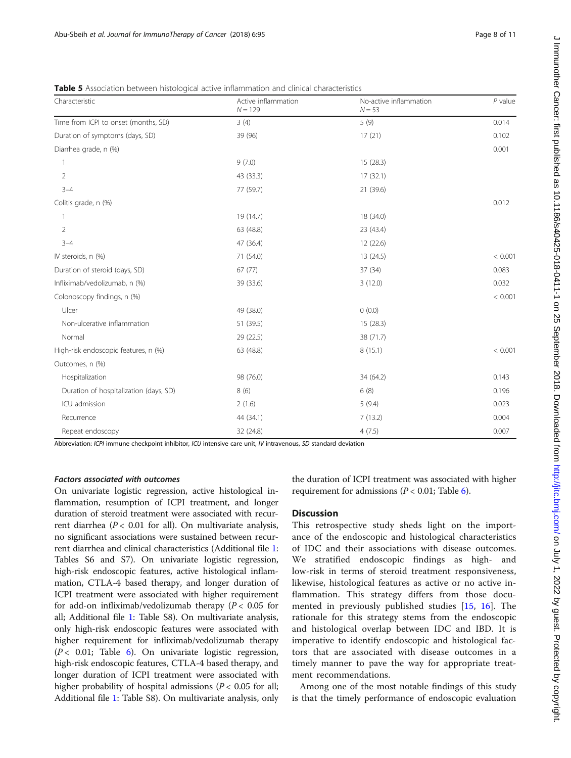| Characteristic                         | Active inflammation<br>$N = 129$ | No-active inflammation<br>$N = 53$ | $P$ value |
|----------------------------------------|----------------------------------|------------------------------------|-----------|
| Time from ICPI to onset (months, SD)   | 3(4)                             | 5(9)                               | 0.014     |
| Duration of symptoms (days, SD)        | 39 (96)                          | 17(21)                             | 0.102     |
| Diarrhea grade, n (%)                  |                                  |                                    | 0.001     |
|                                        | 9(7.0)                           | 15 (28.3)                          |           |
| $\overline{2}$                         | 43 (33.3)                        | 17(32.1)                           |           |
| $3 - 4$                                | 77 (59.7)                        | 21 (39.6)                          |           |
| Colitis grade, n (%)                   |                                  |                                    | 0.012     |
|                                        | 19 (14.7)                        | 18 (34.0)                          |           |
| 2                                      | 63 (48.8)                        | 23 (43.4)                          |           |
| $3 - 4$                                | 47 (36.4)                        | 12 (22.6)                          |           |
| IV steroids, n (%)                     | 71 (54.0)                        | 13 (24.5)                          | < 0.001   |
| Duration of steroid (days, SD)         | 67(77)                           | 37(34)                             | 0.083     |
| Infliximab/vedolizumab, n (%)          | 39 (33.6)                        | 3(12.0)                            | 0.032     |
| Colonoscopy findings, n (%)            |                                  |                                    | < 0.001   |
| Ulcer                                  | 49 (38.0)                        | 0(0.0)                             |           |
| Non-ulcerative inflammation            | 51 (39.5)                        | 15 (28.3)                          |           |
| Normal                                 | 29 (22.5)                        | 38 (71.7)                          |           |
| High-risk endoscopic features, n (%)   | 63 (48.8)                        | 8(15.1)                            | < 0.001   |
| Outcomes, n (%)                        |                                  |                                    |           |
| Hospitalization                        | 98 (76.0)                        | 34 (64.2)                          | 0.143     |
| Duration of hospitalization (days, SD) | 8(6)                             | 6(8)                               | 0.196     |
| ICU admission                          | 2(1.6)                           | 5(9.4)                             | 0.023     |
| Recurrence                             | 44 (34.1)                        | 7(13.2)                            | 0.004     |
| Repeat endoscopy                       | 32 (24.8)                        | 4(7.5)                             | 0.007     |

<span id="page-7-0"></span>Table 5 Association between histological active inflammation and clinical characteristics

Abbreviation: ICPI immune checkpoint inhibitor, ICU intensive care unit, IV intravenous, SD standard deviation

### Factors associated with outcomes

On univariate logistic regression, active histological inflammation, resumption of ICPI treatment, and longer duration of steroid treatment were associated with recurrent diarrhea ( $P < 0.01$  for all). On multivariate analysis, no significant associations were sustained between recurrent diarrhea and clinical characteristics (Additional file [1](#page-9-0): Tables S6 and S7). On univariate logistic regression, high-risk endoscopic features, active histological inflammation, CTLA-4 based therapy, and longer duration of ICPI treatment were associated with higher requirement for add-on infliximab/vedolizumab therapy ( $P < 0.05$  for all; Additional file [1:](#page-9-0) Table S8). On multivariate analysis, only high-risk endoscopic features were associated with higher requirement for infliximab/vedolizumab therapy  $(P < 0.01;$  Table [6\)](#page-8-0). On univariate logistic regression, high-risk endoscopic features, CTLA-4 based therapy, and longer duration of ICPI treatment were associated with higher probability of hospital admissions ( $P < 0.05$  for all; Additional file [1](#page-9-0): Table S8). On multivariate analysis, only the duration of ICPI treatment was associated with higher requirement for admissions ( $P < 0.01$ ; Table [6](#page-8-0)).

### **Discussion**

This retrospective study sheds light on the importance of the endoscopic and histological characteristics of IDC and their associations with disease outcomes. We stratified endoscopic findings as high- and low-risk in terms of steroid treatment responsiveness, likewise, histological features as active or no active inflammation. This strategy differs from those documented in previously published studies [\[15](#page-10-0), [16\]](#page-10-0). The rationale for this strategy stems from the endoscopic and histological overlap between IDC and IBD. It is imperative to identify endoscopic and histological factors that are associated with disease outcomes in a timely manner to pave the way for appropriate treatment recommendations.

Among one of the most notable findings of this study is that the timely performance of endoscopic evaluation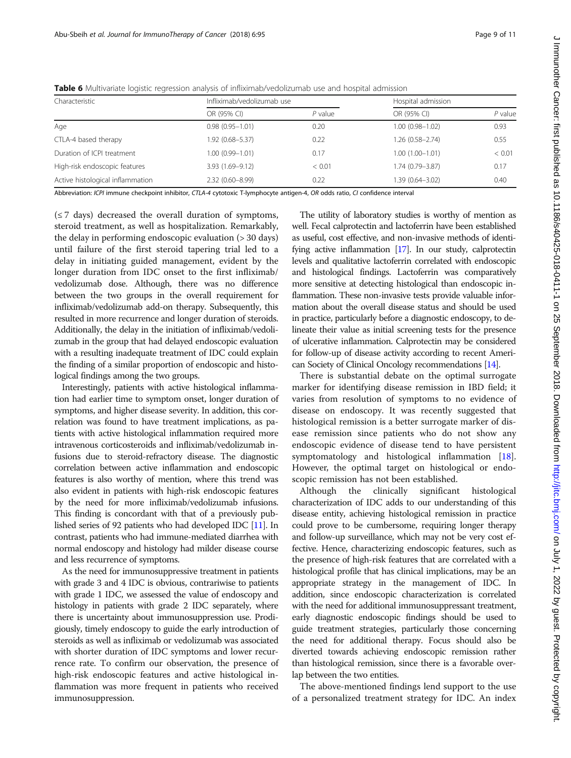| Characteristic                   | Infliximab/vedolizumab use |           | Hospital admission  |           |
|----------------------------------|----------------------------|-----------|---------------------|-----------|
|                                  | OR (95% CI)                | $P$ value | OR (95% CI)         | $P$ value |
| Age                              | $0.98(0.95 - 1.01)$        | 0.20      | $1.00(0.98 - 1.02)$ | 0.93      |
| CTLA-4 based therapy             | $1.92(0.68 - 5.37)$        | 0.22      | $1.26(0.58 - 2.74)$ | 0.55      |
| Duration of ICPI treatment       | $1.00(0.99 - 1.01)$        | 0.17      | $1.00(1.00 - 1.01)$ | < 0.01    |
| High-risk endoscopic features    | 3.93 (1.69-9.12)           | < 0.01    | 1.74 (0.79-3.87)    | 0.17      |
| Active histological inflammation | 2.32 (0.60-8.99)           | 0.22      | 1.39 (0.64-3.02)    | 0.40      |

<span id="page-8-0"></span>Table 6 Multivariate logistic regression analysis of infliximab/vedolizumab use and hospital admission

Abbreviation: ICPI immune checkpoint inhibitor, CTLA-4 cytotoxic T-lymphocyte antigen-4, OR odds ratio, CI confidence interval

 $(≤7 \text{ days})$  decreased the overall duration of symptoms, steroid treatment, as well as hospitalization. Remarkably, the delay in performing endoscopic evaluation (> 30 days) until failure of the first steroid tapering trial led to a delay in initiating guided management, evident by the longer duration from IDC onset to the first infliximab/ vedolizumab dose. Although, there was no difference between the two groups in the overall requirement for infliximab/vedolizumab add-on therapy. Subsequently, this resulted in more recurrence and longer duration of steroids. Additionally, the delay in the initiation of infliximab/vedolizumab in the group that had delayed endoscopic evaluation with a resulting inadequate treatment of IDC could explain the finding of a similar proportion of endoscopic and histological findings among the two groups.

Interestingly, patients with active histological inflammation had earlier time to symptom onset, longer duration of symptoms, and higher disease severity. In addition, this correlation was found to have treatment implications, as patients with active histological inflammation required more intravenous corticosteroids and infliximab/vedolizumab infusions due to steroid-refractory disease. The diagnostic correlation between active inflammation and endoscopic features is also worthy of mention, where this trend was also evident in patients with high-risk endoscopic features by the need for more infliximab/vedolizumab infusions. This finding is concordant with that of a previously published series of 92 patients who had developed IDC [[11](#page-10-0)]. In contrast, patients who had immune-mediated diarrhea with normal endoscopy and histology had milder disease course and less recurrence of symptoms.

As the need for immunosuppressive treatment in patients with grade 3 and 4 IDC is obvious, contrariwise to patients with grade 1 IDC, we assessed the value of endoscopy and histology in patients with grade 2 IDC separately, where there is uncertainty about immunosuppression use. Prodigiously, timely endoscopy to guide the early introduction of steroids as well as infliximab or vedolizumab was associated with shorter duration of IDC symptoms and lower recurrence rate. To confirm our observation, the presence of high-risk endoscopic features and active histological inflammation was more frequent in patients who received immunosuppression.

The utility of laboratory studies is worthy of mention as well. Fecal calprotectin and lactoferrin have been established as useful, cost effective, and non-invasive methods of identifying active inflammation [\[17](#page-10-0)]. In our study, calprotectin levels and qualitative lactoferrin correlated with endoscopic and histological findings. Lactoferrin was comparatively more sensitive at detecting histological than endoscopic inflammation. These non-invasive tests provide valuable information about the overall disease status and should be used in practice, particularly before a diagnostic endoscopy, to delineate their value as initial screening tests for the presence of ulcerative inflammation. Calprotectin may be considered for follow-up of disease activity according to recent American Society of Clinical Oncology recommendations [\[14](#page-10-0)].

There is substantial debate on the optimal surrogate marker for identifying disease remission in IBD field; it varies from resolution of symptoms to no evidence of disease on endoscopy. It was recently suggested that histological remission is a better surrogate marker of disease remission since patients who do not show any endoscopic evidence of disease tend to have persistent symptomatology and histological inflammation [\[18](#page-10-0)]. However, the optimal target on histological or endoscopic remission has not been established.

Although the clinically significant histological characterization of IDC adds to our understanding of this disease entity, achieving histological remission in practice could prove to be cumbersome, requiring longer therapy and follow-up surveillance, which may not be very cost effective. Hence, characterizing endoscopic features, such as the presence of high-risk features that are correlated with a histological profile that has clinical implications, may be an appropriate strategy in the management of IDC. In addition, since endoscopic characterization is correlated with the need for additional immunosuppressant treatment, early diagnostic endoscopic findings should be used to guide treatment strategies, particularly those concerning the need for additional therapy. Focus should also be diverted towards achieving endoscopic remission rather than histological remission, since there is a favorable overlap between the two entities.

The above-mentioned findings lend support to the use of a personalized treatment strategy for IDC. An index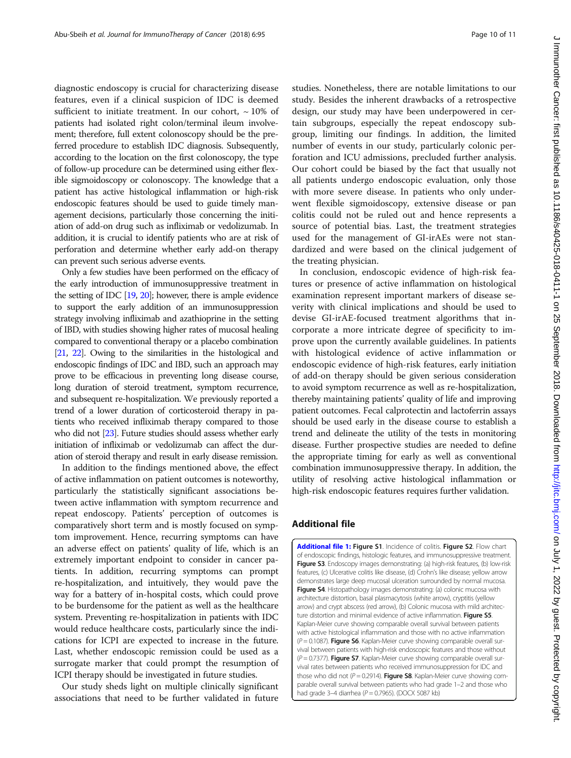<span id="page-9-0"></span>diagnostic endoscopy is crucial for characterizing disease features, even if a clinical suspicion of IDC is deemed sufficient to initiate treatment. In our cohort,  $\sim 10\%$  of patients had isolated right colon/terminal ileum involvement; therefore, full extent colonoscopy should be the preferred procedure to establish IDC diagnosis. Subsequently, according to the location on the first colonoscopy, the type of follow-up procedure can be determined using either flexible sigmoidoscopy or colonoscopy. The knowledge that a patient has active histological inflammation or high-risk endoscopic features should be used to guide timely management decisions, particularly those concerning the initiation of add-on drug such as infliximab or vedolizumab. In addition, it is crucial to identify patients who are at risk of perforation and determine whether early add-on therapy can prevent such serious adverse events.

Only a few studies have been performed on the efficacy of the early introduction of immunosuppressive treatment in the setting of IDC [\[19,](#page-10-0) [20\]](#page-10-0); however, there is ample evidence to support the early addition of an immunosuppression strategy involving infliximab and azathioprine in the setting of IBD, with studies showing higher rates of mucosal healing compared to conventional therapy or a placebo combination [[21,](#page-10-0) [22\]](#page-10-0). Owing to the similarities in the histological and endoscopic findings of IDC and IBD, such an approach may prove to be efficacious in preventing long disease course, long duration of steroid treatment, symptom recurrence, and subsequent re-hospitalization. We previously reported a trend of a lower duration of corticosteroid therapy in patients who received infliximab therapy compared to those who did not [[23\]](#page-10-0). Future studies should assess whether early initiation of infliximab or vedolizumab can affect the duration of steroid therapy and result in early disease remission.

In addition to the findings mentioned above, the effect of active inflammation on patient outcomes is noteworthy, particularly the statistically significant associations between active inflammation with symptom recurrence and repeat endoscopy. Patients' perception of outcomes is comparatively short term and is mostly focused on symptom improvement. Hence, recurring symptoms can have an adverse effect on patients' quality of life, which is an extremely important endpoint to consider in cancer patients. In addition, recurring symptoms can prompt re-hospitalization, and intuitively, they would pave the way for a battery of in-hospital costs, which could prove to be burdensome for the patient as well as the healthcare system. Preventing re-hospitalization in patients with IDC would reduce healthcare costs, particularly since the indications for ICPI are expected to increase in the future. Last, whether endoscopic remission could be used as a surrogate marker that could prompt the resumption of ICPI therapy should be investigated in future studies.

Our study sheds light on multiple clinically significant associations that need to be further validated in future studies. Nonetheless, there are notable limitations to our study. Besides the inherent drawbacks of a retrospective design, our study may have been underpowered in certain subgroups, especially the repeat endoscopy subgroup, limiting our findings. In addition, the limited number of events in our study, particularly colonic perforation and ICU admissions, precluded further analysis. Our cohort could be biased by the fact that usually not all patients undergo endoscopic evaluation, only those with more severe disease. In patients who only underwent flexible sigmoidoscopy, extensive disease or pan colitis could not be ruled out and hence represents a source of potential bias. Last, the treatment strategies used for the management of GI-irAEs were not standardized and were based on the clinical judgement of the treating physician.

In conclusion, endoscopic evidence of high-risk features or presence of active inflammation on histological examination represent important markers of disease severity with clinical implications and should be used to devise GI-irAE-focused treatment algorithms that incorporate a more intricate degree of specificity to improve upon the currently available guidelines. In patients with histological evidence of active inflammation or endoscopic evidence of high-risk features, early initiation of add-on therapy should be given serious consideration to avoid symptom recurrence as well as re-hospitalization, thereby maintaining patients' quality of life and improving patient outcomes. Fecal calprotectin and lactoferrin assays should be used early in the disease course to establish a trend and delineate the utility of the tests in monitoring disease. Further prospective studies are needed to define the appropriate timing for early as well as conventional combination immunosuppressive therapy. In addition, the utility of resolving active histological inflammation or high-risk endoscopic features requires further validation.

### Additional file

[Additional file 1:](https://doi.org/10.1186/s40425-018-0411-1) Figure S1. Incidence of colitis. Figure S2. Flow chart of endoscopic findings, histologic features, and immunosuppressive treatment. Figure S3. Endoscopy images demonstrating: (a) high-risk features, (b) low-risk features, (c) Ulcerative colitis like disease, (d) Crohn's like disease; yellow arrow demonstrates large deep mucosal ulceration surrounded by normal mucosa. Figure S4. Histopathology images demonstrating: (a) colonic mucosa with architecture distortion, basal plasmacytosis (white arrow), cryptitis (yellow arrow) and crypt abscess (red arrow), (b) Colonic mucosa with mild architecture distortion and minimal evidence of active inflammation. Figure S5. Kaplan-Meier curve showing comparable overall survival between patients with active histological inflammation and those with no active inflammation  $(P = 0.1087)$ . Figure S6. Kaplan-Meier curve showing comparable overall survival between patients with high-risk endoscopic features and those without  $(P = 0.7377)$ . Figure S7. Kaplan-Meier curve showing comparable overall survival rates between patients who received immunosuppression for IDC and those who did not ( $P = 0.2914$ ). Figure S8. Kaplan-Meier curve showing comparable overall survival between patients who had grade 1–2 and those who had grade 3-4 diarrhea ( $P = 0.7965$ ). (DOCX 5087 kb)